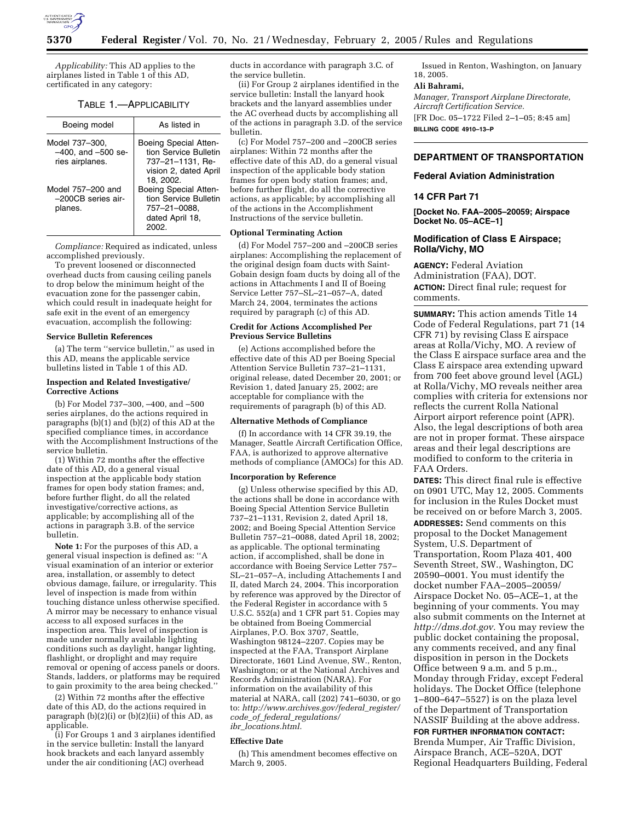

*Applicability:* This AD applies to the airplanes listed in Table 1 of this AD, certificated in any category:

### TABLE 1.—APPLICABILITY

| Boeing model                                                 | As listed in                                                                                             |
|--------------------------------------------------------------|----------------------------------------------------------------------------------------------------------|
| Model 737-300.<br>$-400$ , and $-500$ se-<br>ries airplanes. | Boeing Special Atten-<br>tion Service Bulletin<br>737-21-1131, Re-<br>vision 2, dated April<br>18. 2002. |
| Model 757-200 and<br>-200CB series air-<br>planes.           | <b>Boeing Special Atten-</b><br>tion Service Bulletin<br>757-21-0088,<br>dated April 18,<br>2002.        |

*Compliance:* Required as indicated, unless accomplished previously.

To prevent loosened or disconnected overhead ducts from causing ceiling panels to drop below the minimum height of the evacuation zone for the passenger cabin, which could result in inadequate height for safe exit in the event of an emergency evacuation, accomplish the following:

### **Service Bulletin References**

(a) The term ''service bulletin,'' as used in this AD, means the applicable service bulletins listed in Table 1 of this AD.

### **Inspection and Related Investigative/ Corrective Actions**

(b) For Model 737–300, –400, and –500 series airplanes, do the actions required in paragraphs (b)(1) and (b)(2) of this AD at the specified compliance times, in accordance with the Accomplishment Instructions of the service bulletin.

(1) Within 72 months after the effective date of this AD, do a general visual inspection at the applicable body station frames for open body station frames; and, before further flight, do all the related investigative/corrective actions, as applicable; by accomplishing all of the actions in paragraph 3.B. of the service bulletin.

**Note 1:** For the purposes of this AD, a general visual inspection is defined as: ''A visual examination of an interior or exterior area, installation, or assembly to detect obvious damage, failure, or irregularity. This level of inspection is made from within touching distance unless otherwise specified. A mirror may be necessary to enhance visual access to all exposed surfaces in the inspection area. This level of inspection is made under normally available lighting conditions such as daylight, hangar lighting, flashlight, or droplight and may require removal or opening of access panels or doors. Stands, ladders, or platforms may be required to gain proximity to the area being checked.''

(2) Within 72 months after the effective date of this AD, do the actions required in paragraph  $(b)(2)(i)$  or  $(b)(2)(ii)$  of this AD, as applicable.

(i) For Groups 1 and 3 airplanes identified in the service bulletin: Install the lanyard hook brackets and each lanyard assembly under the air conditioning (AC) overhead

ducts in accordance with paragraph 3.C. of the service bulletin.

(ii) For Group 2 airplanes identified in the service bulletin: Install the lanyard hook brackets and the lanyard assemblies under the AC overhead ducts by accomplishing all of the actions in paragraph 3.D. of the service bulletin.

(c) For Model 757–200 and –200CB series airplanes: Within 72 months after the effective date of this AD, do a general visual inspection of the applicable body station frames for open body station frames; and, before further flight, do all the corrective actions, as applicable; by accomplishing all of the actions in the Accomplishment Instructions of the service bulletin.

## **Optional Terminating Action**

(d) For Model 757–200 and –200CB series airplanes: Accomplishing the replacement of the original design foam ducts with Saint-Gobain design foam ducts by doing all of the actions in Attachments I and II of Boeing Service Letter 757–SL–21–057–A, dated March 24, 2004, terminates the actions required by paragraph (c) of this AD.

### **Credit for Actions Accomplished Per Previous Service Bulletins**

(e) Actions accomplished before the effective date of this AD per Boeing Special Attention Service Bulletin 737–21–1131, original release, dated December 20, 2001; or Revision 1, dated January 25, 2002; are acceptable for compliance with the requirements of paragraph (b) of this AD.

## **Alternative Methods of Compliance**

(f) In accordance with 14 CFR 39.19, the Manager, Seattle Aircraft Certification Office, FAA, is authorized to approve alternative methods of compliance (AMOCs) for this AD.

# **Incorporation by Reference**

(g) Unless otherwise specified by this AD, the actions shall be done in accordance with Boeing Special Attention Service Bulletin 737–21–1131, Revision 2, dated April 18, 2002; and Boeing Special Attention Service Bulletin 757–21–0088, dated April 18, 2002; as applicable. The optional terminating action, if accomplished, shall be done in accordance with Boeing Service Letter 757– SL–21–057–A, including Attachements I and II, dated March 24, 2004. This incorporation by reference was approved by the Director of the Federal Register in accordance with 5 U.S.C. 552(a) and 1 CFR part 51. Copies may be obtained from Boeing Commercial Airplanes, P.O. Box 3707, Seattle, Washington 98124–2207. Copies may be inspected at the FAA, Transport Airplane Directorate, 1601 Lind Avenue, SW., Renton, Washington; or at the National Archives and Records Administration (NARA). For information on the availability of this material at NARA, call (202) 741–6030, or go to: *http://www.archives.gov/federal*\_*register/ code*\_*of*\_*federal*\_*regulations/ ibr*\_*locations.html.*

### **Effective Date**

(h) This amendment becomes effective on March 9, 2005.

Issued in Renton, Washington, on January 18, 2005.

# **Ali Bahrami,**

*Manager, Transport Airplane Directorate, Aircraft Certification Service.* [FR Doc. 05–1722 Filed 2–1–05; 8:45 am] **BILLING CODE 4910–13–P**

# **DEPARTMENT OF TRANSPORTATION**

### **Federal Aviation Administration**

### **14 CFR Part 71**

**[Docket No. FAA–2005–20059; Airspace Docket No. 05–ACE–1]** 

## **Modification of Class E Airspace; Rolla/Vichy, MO**

**AGENCY:** Federal Aviation Administration (FAA), DOT. **ACTION:** Direct final rule; request for comments.

**SUMMARY:** This action amends Title 14 Code of Federal Regulations, part 71 (14 CFR 71) by revising Class E airspace areas at Rolla/Vichy, MO. A review of the Class E airspace surface area and the Class E airspace area extending upward from 700 feet above ground level (AGL) at Rolla/Vichy, MO reveals neither area complies with criteria for extensions nor reflects the current Rolla National Airport airport reference point (APR). Also, the legal descriptions of both area are not in proper format. These airspace areas and their legal descriptions are modified to conform to the criteria in FAA Orders.

**DATES:** This direct final rule is effective on 0901 UTC, May 12, 2005. Comments for inclusion in the Rules Docket must be received on or before March 3, 2005. **ADDRESSES:** Send comments on this proposal to the Docket Management System, U.S. Department of Transportation, Room Plaza 401, 400 Seventh Street, SW., Washington, DC 20590–0001. You must identify the docket number FAA–2005–20059/ Airspace Docket No. 05–ACE–1, at the beginning of your comments. You may also submit comments on the Internet at *http://dms.dot.gov.* You may review the public docket containing the proposal, any comments received, and any final disposition in person in the Dockets Office between 9 a.m. and 5 p.m., Monday through Friday, except Federal holidays. The Docket Office (telephone 1–800–647–5527) is on the plaza level of the Department of Transportation NASSIF Building at the above address.

#### **FOR FURTHER INFORMATION CONTACT:**

Brenda Mumper, Air Traffic Division, Airspace Branch, ACE–520A, DOT Regional Headquarters Building, Federal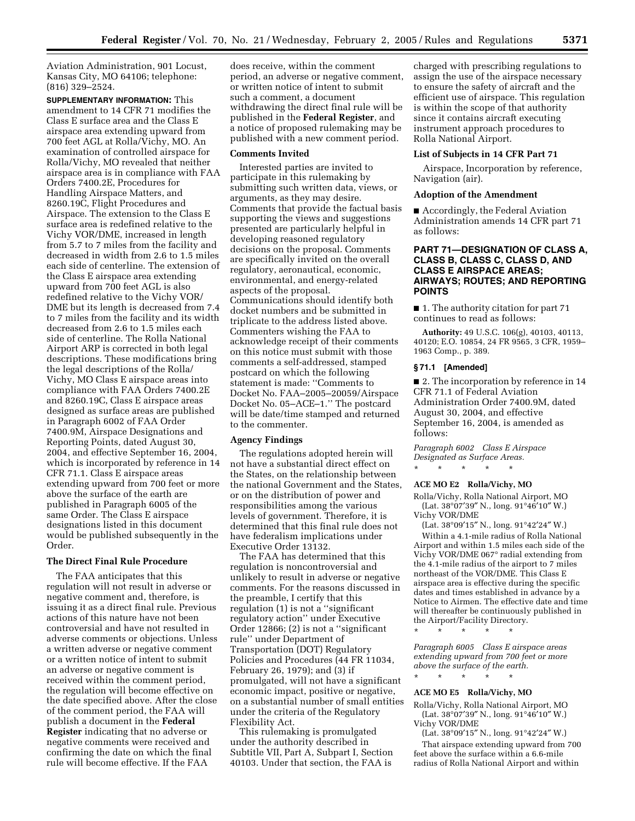Aviation Administration, 901 Locust, Kansas City, MO 64106; telephone: (816) 329–2524.

**SUPPLEMENTARY INFORMATION:** This amendment to 14 CFR 71 modifies the Class E surface area and the Class E airspace area extending upward from 700 feet AGL at Rolla/Vichy, MO. An examination of controlled airspace for Rolla/Vichy, MO revealed that neither airspace area is in compliance with FAA Orders 7400.2E, Procedures for Handling Airspace Matters, and 8260.19C, Flight Procedures and Airspace. The extension to the Class E surface area is redefined relative to the Vichy VOR/DME, increased in length from 5.7 to 7 miles from the facility and decreased in width from 2.6 to 1.5 miles each side of centerline. The extension of the Class E airspace area extending upward from 700 feet AGL is also redefined relative to the Vichy VOR/ DME but its length is decreased from 7.4 to 7 miles from the facility and its width decreased from 2.6 to 1.5 miles each side of centerline. The Rolla National Airport ARP is corrected in both legal descriptions. These modifications bring the legal descriptions of the Rolla/ Vichy, MO Class E airspace areas into compliance with FAA Orders 7400.2E and 8260.19C, Class E airspace areas designed as surface areas are published in Paragraph 6002 of FAA Order 7400.9M, Airspace Designations and Reporting Points, dated August 30, 2004, and effective September 16, 2004, which is incorporated by reference in 14 CFR 71.1. Class E airspace areas extending upward from 700 feet or more above the surface of the earth are published in Paragraph 6005 of the same Order. The Class E airspace designations listed in this document would be published subsequently in the Order.

# **The Direct Final Rule Procedure**

The FAA anticipates that this regulation will not result in adverse or negative comment and, therefore, is issuing it as a direct final rule. Previous actions of this nature have not been controversial and have not resulted in adverse comments or objections. Unless a written adverse or negative comment or a written notice of intent to submit an adverse or negative comment is received within the comment period, the regulation will become effective on the date specified above. After the close of the comment period, the FAA will publish a document in the **Federal Register** indicating that no adverse or negative comments were received and confirming the date on which the final rule will become effective. If the FAA

does receive, within the comment period, an adverse or negative comment, or written notice of intent to submit such a comment, a document withdrawing the direct final rule will be published in the **Federal Register**, and a notice of proposed rulemaking may be published with a new comment period.

#### **Comments Invited**

Interested parties are invited to participate in this rulemaking by submitting such written data, views, or arguments, as they may desire. Comments that provide the factual basis supporting the views and suggestions presented are particularly helpful in developing reasoned regulatory decisions on the proposal. Comments are specifically invited on the overall regulatory, aeronautical, economic, environmental, and energy-related aspects of the proposal. Communications should identify both docket numbers and be submitted in triplicate to the address listed above. Commenters wishing the FAA to acknowledge receipt of their comments on this notice must submit with those comments a self-addressed, stamped postcard on which the following statement is made: ''Comments to Docket No. FAA–2005–20059/Airspace Docket No. 05–ACE–1.'' The postcard will be date/time stamped and returned to the commenter.

#### **Agency Findings**

The regulations adopted herein will not have a substantial direct effect on the States, on the relationship between the national Government and the States, or on the distribution of power and responsibilities among the various levels of government. Therefore, it is determined that this final rule does not have federalism implications under Executive Order 13132.

The FAA has determined that this regulation is noncontroversial and unlikely to result in adverse or negative comments. For the reasons discussed in the preamble, I certify that this regulation (1) is not a ''significant regulatory action'' under Executive Order 12866; (2) is not a ''significant rule'' under Department of Transportation (DOT) Regulatory Policies and Procedures (44 FR 11034, February 26, 1979); and (3) if promulgated, will not have a significant economic impact, positive or negative, on a substantial number of small entities under the criteria of the Regulatory Flexibility Act.

This rulemaking is promulgated under the authority described in Subtitle VII, Part A, Subpart I, Section 40103. Under that section, the FAA is

charged with prescribing regulations to assign the use of the airspace necessary to ensure the safety of aircraft and the efficient use of airspace. This regulation is within the scope of that authority since it contains aircraft executing instrument approach procedures to Rolla National Airport.

#### **List of Subjects in 14 CFR Part 71**

Airspace, Incorporation by reference, Navigation (air).

### **Adoption of the Amendment**

■ Accordingly, the Federal Aviation Administration amends 14 CFR part 71 as follows:

# **PART 71—DESIGNATION OF CLASS A, CLASS B, CLASS C, CLASS D, AND CLASS E AIRSPACE AREAS; AIRWAYS; ROUTES; AND REPORTING POINTS**

■ 1. The authority citation for part 71 continues to read as follows:

**Authority:** 49 U.S.C. 106(g), 40103, 40113, 40120; E.O. 10854, 24 FR 9565, 3 CFR, 1959– 1963 Comp., p. 389.

### **§ 71.1 [Amended]**

■ 2. The incorporation by reference in 14 CFR 71.1 of Federal Aviation Administration Order 7400.9M, dated August 30, 2004, and effective September 16, 2004, is amended as follows:

*Paragraph 6002 Class E Airspace Designated as Surface Areas.* \* \* \* \* \*

#### **ACE MO E2 Rolla/Vichy, MO**

Rolla/Vichy, Rolla National Airport, MO (Lat. 38°07′39″ N., long. 91°46′10″ W.) Vichy VOR/DME

(Lat. 38°09′15″ N., long. 91°42′24″ W.)

Within a 4.1-mile radius of Rolla National Airport and within 1.5 miles each side of the Vichy VOR/DME 067° radial extending from the 4.1-mile radius of the airport to 7 miles northeast of the VOR/DME. This Class E airspace area is effective during the specific dates and times established in advance by a Notice to Airmen. The effective date and time will thereafter be continuously published in the Airport/Facility Directory.

\* \* \* \* \*

*Paragraph 6005 Class E airspace areas extending upward from 700 feet or more above the surface of the earth.*

## **ACE MO E5 Rolla/Vichy, MO**

\* \* \* \* \*

Rolla/Vichy, Rolla National Airport, MO (Lat. 38°07′39″ N., long. 91°46′10″ W.) Vichy VOR/DME

(Lat. 38°09′15″ N., long. 91°42′24″ W.) That airspace extending upward from 700 feet above the surface within a 6.6-mile radius of Rolla National Airport and within